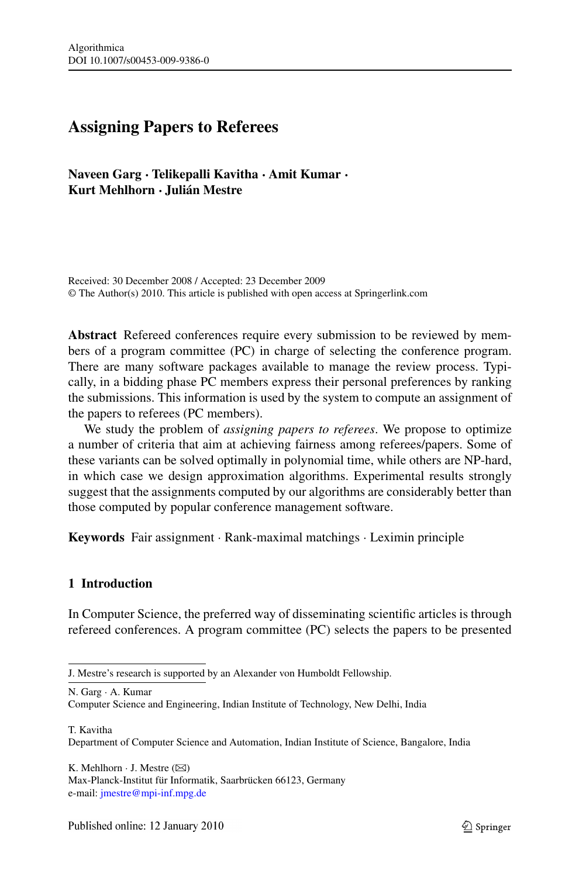# **Assigning Papers to Referees**

**Naveen Garg · Telikepalli Kavitha · Amit Kumar · Kurt Mehlhorn · Julián Mestre**

Received: 30 December 2008 / Accepted: 23 December 2009 © The Author(s) 2010. This article is published with open access at Springerlink.com

**Abstract** Refereed conferences require every submission to be reviewed by members of a program committee (PC) in charge of selecting the conference program. There are many software packages available to manage the review process. Typically, in a bidding phase PC members express their personal preferences by ranking the submissions. This information is used by the system to compute an assignment of the papers to referees (PC members).

We study the problem of *assigning papers to referees*. We propose to optimize a number of criteria that aim at achieving fairness among referees/papers. Some of these variants can be solved optimally in polynomial time, while others are NP-hard, in which case we design approximation algorithms. Experimental results strongly suggest that the assignments computed by our algorithms are considerably better than those computed by popular conference management software.

**Keywords** Fair assignment · Rank-maximal matchings · Leximin principle

# **1 Introduction**

In Computer Science, the preferred way of disseminating scientific articles is through refereed conferences. A program committee (PC) selects the papers to be presented

N. Garg · A. Kumar

T. Kavitha

K. Mehlhorn  $\cdot$  J. Mestre ( $\boxtimes$ ) Max-Planck-Institut für Informatik, Saarbrücken 66123, Germany e-mail: [jmestre@mpi-inf.mpg.de](mailto:jmestre@mpi-inf.mpg.de)

J. Mestre's research is supported by an Alexander von Humboldt Fellowship.

Computer Science and Engineering, Indian Institute of Technology, New Delhi, India

Department of Computer Science and Automation, Indian Institute of Science, Bangalore, India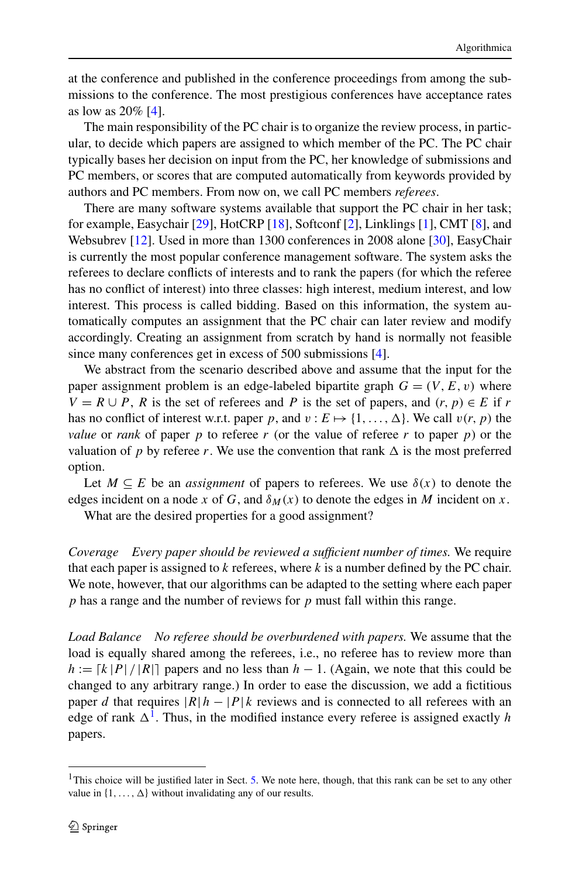at the conference and published in the conference proceedings from among the submissions to the conference. The most prestigious conferences have acceptance rates as low as 20% [[4\]](#page-16-0).

The main responsibility of the PC chair is to organize the review process, in particular, to decide which papers are assigned to which member of the PC. The PC chair typically bases her decision on input from the PC, her knowledge of submissions and PC members, or scores that are computed automatically from keywords provided by authors and PC members. From now on, we call PC members *referees*.

There are many software systems available that support the PC chair in her task; for example, Easychair [[29\]](#page-17-0), HotCRP [\[18](#page-17-0)], Softconf [\[2](#page-16-0)], Linklings [[1\]](#page-16-0), CMT [\[8](#page-16-0)], and Websubrev [[12\]](#page-17-0). Used in more than 1300 conferences in 2008 alone [[30\]](#page-17-0), EasyChair is currently the most popular conference management software. The system asks the referees to declare conflicts of interests and to rank the papers (for which the referee has no conflict of interest) into three classes: high interest, medium interest, and low interest. This process is called bidding. Based on this information, the system automatically computes an assignment that the PC chair can later review and modify accordingly. Creating an assignment from scratch by hand is normally not feasible since many conferences get in excess of 500 submissions [\[4](#page-16-0)].

We abstract from the scenario described above and assume that the input for the paper assignment problem is an edge-labeled bipartite graph  $G = (V, E, v)$  where  $V = R \cup P$ , *R* is the set of referees and *P* is the set of papers, and  $(r, p) \in E$  if *r* has no conflict of interest w.r.t. paper p, and  $v : E \mapsto \{1, ..., \Delta\}$ . We call  $v(r, p)$  the *value* or *rank* of paper *p* to referee *r* (or the value of referee *r* to paper *p*) or the valuation of p by referee r. We use the convention that rank  $\Delta$  is the most preferred option.

Let  $M \subseteq E$  be an *assignment* of papers to referees. We use  $\delta(x)$  to denote the edges incident on a node *x* of *G*, and  $\delta_M(x)$  to denote the edges in *M* incident on *x*.

What are the desired properties for a good assignment?

*Coverage Every paper should be reviewed a sufficient number of times.* We require that each paper is assigned to *k* referees, where *k* is a number defined by the PC chair. We note, however, that our algorithms can be adapted to the setting where each paper *p* has a range and the number of reviews for *p* must fall within this range.

*Load Balance No referee should be overburdened with papers.* We assume that the load is equally shared among the referees, i.e., no referee has to review more than  $h := \lceil k \rceil P / |R| \rceil$  papers and no less than  $h - 1$ . (Again, we note that this could be changed to any arbitrary range.) In order to ease the discussion, we add a fictitious paper *d* that requires  $|R|h - |P|k$  reviews and is connected to all referees with an edge of rank  $\Delta^1$ . Thus, in the modified instance every referee is assigned exactly *h* papers.

<sup>&</sup>lt;sup>1</sup>This choice will be justified later in Sect. [5](#page-13-0). We note here, though, that this rank can be set to any other value in  $\{1, \ldots, \Delta\}$  without invalidating any of our results.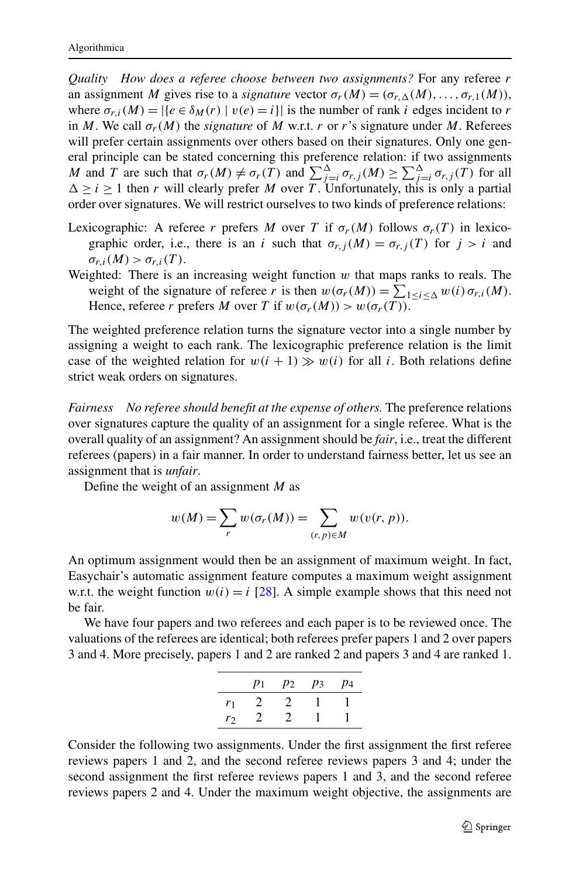*Quality How does a referee choose between two assignments?* For any referee *r* an assignment *M* gives rise to a *signature* vector  $\sigma_r(M) = (\sigma_{r,\Delta}(M), \dots, \sigma_{r,1}(M)),$ where  $\sigma_{r,i}(M) = |\{e \in \delta_M(r) \mid v(e) = i\}|$  is the number of rank *i* edges incident to *r* in *M*. We call  $\sigma_r(M)$  the *signature* of *M* w.r.t. *r* or *r*'s signature under *M*. Referees will prefer certain assignments over others based on their signatures. Only one general principle can be stated concerning this preference relation: if two assignments *M* and *T* are such that  $\sigma_r(M) \neq \sigma_r(T)$  and  $\sum_{j=i}^{\Delta} \sigma_{r,j}(M) \geq \sum_{j=i}^{\Delta} \sigma_{r,j}(T)$  for all  $\Delta \geq i \geq 1$  then *r* will clearly prefer *M* over *T*. Unfortunately, this is only a partial order over signatures. We will restrict ourselves to two kinds of preference relations:

- Lexicographic: A referee *r* prefers *M* over *T* if  $\sigma_r(M)$  follows  $\sigma_r(T)$  in lexicographic order, i.e., there is an *i* such that  $\sigma_{r,j}(M) = \sigma_{r,j}(T)$  for  $j > i$  and  $\sigma_{r,i}(M) > \sigma_{r,i}(T)$ .
- Weighted: There is an increasing weight function *w* that maps ranks to reals. The weight of the signature of referee *r* is then  $w(\sigma_r(M)) = \sum_{1 \le i \le \Delta} w(i) \sigma_{r,i}(M)$ . Hence, referee *r* prefers *M* over *T* if  $w(\sigma_r(M)) > w(\sigma_r(T))$ .

The weighted preference relation turns the signature vector into a single number by assigning a weight to each rank. The lexicographic preference relation is the limit case of the weighted relation for  $w(i + 1) \gg w(i)$  for all *i*. Both relations define strict weak orders on signatures.

*Fairness No referee should benefit at the expense of others.* The preference relations over signatures capture the quality of an assignment for a single referee. What is the overall quality of an assignment? An assignment should be *fair*, i.e., treat the different referees (papers) in a fair manner. In order to understand fairness better, let us see an assignment that is *unfair*.

Define the weight of an assignment *M* as

$$
w(M) = \sum_{r} w(\sigma_r(M)) = \sum_{(r,p)\in M} w(v(r,p)).
$$

An optimum assignment would then be an assignment of maximum weight. In fact, Easychair's automatic assignment feature computes a maximum weight assignment w.r.t. the weight function  $w(i) = i$  [[28\]](#page-17-0). A simple example shows that this need not be fair.

We have four papers and two referees and each paper is to be reviewed once. The valuations of the referees are identical; both referees prefer papers 1 and 2 over papers 3 and 4. More precisely, papers 1 and 2 are ranked 2 and papers 3 and 4 are ranked 1.

|       | $p_1$ |   | $p_2$ $p_3$ | $p_4$ |
|-------|-------|---|-------------|-------|
| $r_1$ | 2     | 2 |             |       |
| r     | 2     | 2 |             |       |

Consider the following two assignments. Under the first assignment the first referee reviews papers 1 and 2, and the second referee reviews papers 3 and 4; under the second assignment the first referee reviews papers 1 and 3, and the second referee reviews papers 2 and 4. Under the maximum weight objective, the assignments are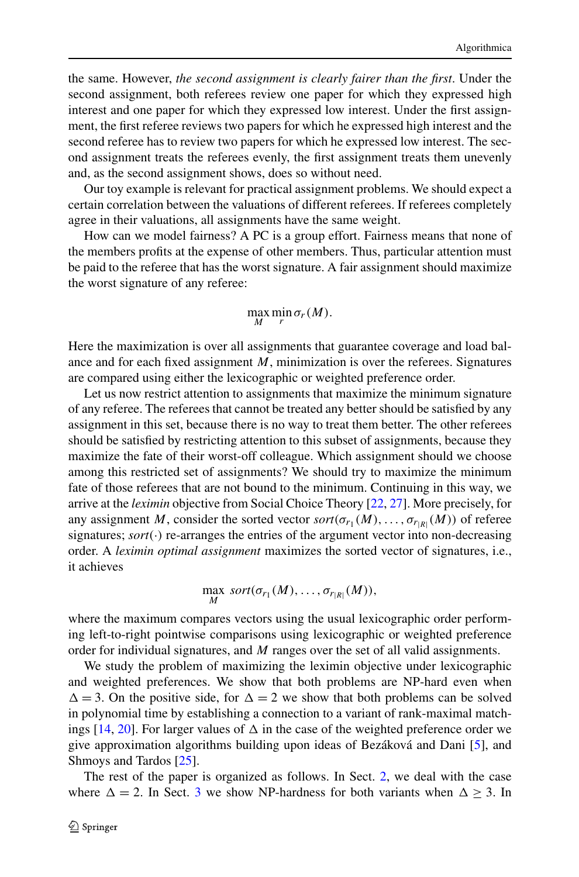the same. However, *the second assignment is clearly fairer than the first*. Under the second assignment, both referees review one paper for which they expressed high interest and one paper for which they expressed low interest. Under the first assignment, the first referee reviews two papers for which he expressed high interest and the second referee has to review two papers for which he expressed low interest. The second assignment treats the referees evenly, the first assignment treats them unevenly and, as the second assignment shows, does so without need.

Our toy example is relevant for practical assignment problems. We should expect a certain correlation between the valuations of different referees. If referees completely agree in their valuations, all assignments have the same weight.

How can we model fairness? A PC is a group effort. Fairness means that none of the members profits at the expense of other members. Thus, particular attention must be paid to the referee that has the worst signature. A fair assignment should maximize the worst signature of any referee:

# $\max_{M} \min_{r} \sigma_{r}(M).$

Here the maximization is over all assignments that guarantee coverage and load balance and for each fixed assignment *M*, minimization is over the referees. Signatures are compared using either the lexicographic or weighted preference order.

Let us now restrict attention to assignments that maximize the minimum signature of any referee. The referees that cannot be treated any better should be satisfied by any assignment in this set, because there is no way to treat them better. The other referees should be satisfied by restricting attention to this subset of assignments, because they maximize the fate of their worst-off colleague. Which assignment should we choose among this restricted set of assignments? We should try to maximize the minimum fate of those referees that are not bound to the minimum. Continuing in this way, we arrive at the *leximin* objective from Social Choice Theory [\[22](#page-17-0), [27\]](#page-17-0). More precisely, for any assignment *M*, consider the sorted vector  $sort(\sigma_{r_1}(M), \ldots, \sigma_{r_{|R|}}(M))$  of referee signatures;  $sort(\cdot)$  re-arranges the entries of the argument vector into non-decreasing order. A *leximin optimal assignment* maximizes the sorted vector of signatures, i.e., it achieves

$$
\max_{M} sort(\sigma_{r_1}(M), \ldots, \sigma_{r_{|R|}}(M)),
$$

where the maximum compares vectors using the usual lexicographic order performing left-to-right pointwise comparisons using lexicographic or weighted preference order for individual signatures, and *M* ranges over the set of all valid assignments.

We study the problem of maximizing the leximin objective under lexicographic and weighted preferences. We show that both problems are NP-hard even when  $\Delta = 3$ . On the positive side, for  $\Delta = 2$  we show that both problems can be solved in polynomial time by establishing a connection to a variant of rank-maximal matchings  $[14, 20]$  $[14, 20]$  $[14, 20]$  $[14, 20]$ . For larger values of  $\Delta$  in the case of the weighted preference order we give approximation algorithms building upon ideas of Bezáková and Dani [\[5](#page-16-0)], and Shmoys and Tardos [[25\]](#page-17-0).

The rest of the paper is organized as follows. In Sect. [2](#page-4-0), we deal with the case where  $\Delta = 2$ . In Sect. [3](#page-7-0) we show NP-hardness for both variants when  $\Delta \ge 3$ . In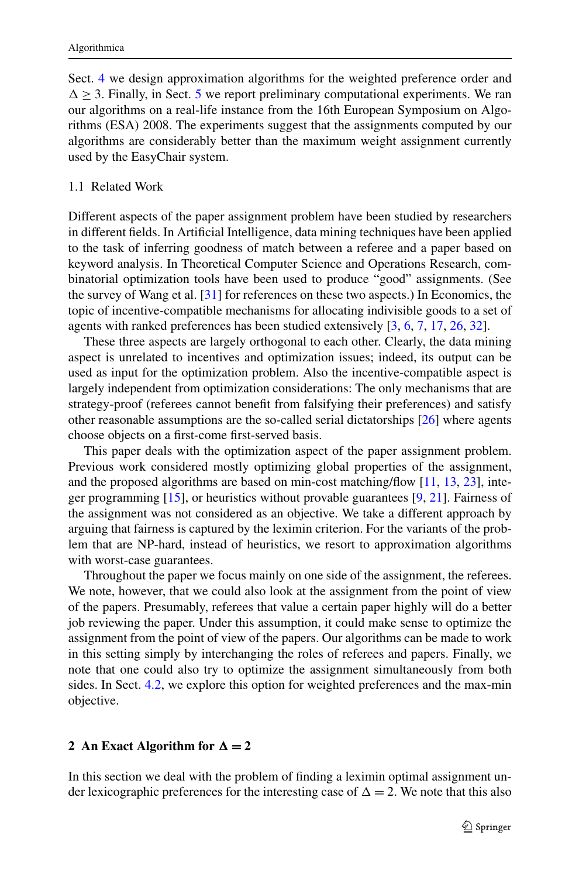<span id="page-4-0"></span>Sect. [4](#page-8-0) we design approximation algorithms for the weighted preference order and  $\Delta \geq 3$ . Finally, in Sect. [5](#page-13-0) we report preliminary computational experiments. We ran our algorithms on a real-life instance from the 16th European Symposium on Algorithms (ESA) 2008. The experiments suggest that the assignments computed by our algorithms are considerably better than the maximum weight assignment currently used by the EasyChair system.

#### 1.1 Related Work

Different aspects of the paper assignment problem have been studied by researchers in different fields. In Artificial Intelligence, data mining techniques have been applied to the task of inferring goodness of match between a referee and a paper based on keyword analysis. In Theoretical Computer Science and Operations Research, combinatorial optimization tools have been used to produce "good" assignments. (See the survey of Wang et al. [\[31](#page-17-0)] for references on these two aspects.) In Economics, the topic of incentive-compatible mechanisms for allocating indivisible goods to a set of agents with ranked preferences has been studied extensively [[3,](#page-16-0) [6,](#page-16-0) [7,](#page-16-0) [17,](#page-17-0) [26,](#page-17-0) [32\]](#page-17-0).

These three aspects are largely orthogonal to each other. Clearly, the data mining aspect is unrelated to incentives and optimization issues; indeed, its output can be used as input for the optimization problem. Also the incentive-compatible aspect is largely independent from optimization considerations: The only mechanisms that are strategy-proof (referees cannot benefit from falsifying their preferences) and satisfy other reasonable assumptions are the so-called serial dictatorships [\[26](#page-17-0)] where agents choose objects on a first-come first-served basis.

This paper deals with the optimization aspect of the paper assignment problem. Previous work considered mostly optimizing global properties of the assignment, and the proposed algorithms are based on min-cost matching/flow [[11,](#page-17-0) [13,](#page-17-0) [23\]](#page-17-0), integer programming [\[15](#page-17-0)], or heuristics without provable guarantees [\[9](#page-16-0), [21](#page-17-0)]. Fairness of the assignment was not considered as an objective. We take a different approach by arguing that fairness is captured by the leximin criterion. For the variants of the problem that are NP-hard, instead of heuristics, we resort to approximation algorithms with worst-case guarantees.

Throughout the paper we focus mainly on one side of the assignment, the referees. We note, however, that we could also look at the assignment from the point of view of the papers. Presumably, referees that value a certain paper highly will do a better job reviewing the paper. Under this assumption, it could make sense to optimize the assignment from the point of view of the papers. Our algorithms can be made to work in this setting simply by interchanging the roles of referees and papers. Finally, we note that one could also try to optimize the assignment simultaneously from both sides. In Sect. [4.2](#page-11-0), we explore this option for weighted preferences and the max-min objective.

# **2** An Exact Algorithm for  $\Delta = 2$

In this section we deal with the problem of finding a leximin optimal assignment under lexicographic preferences for the interesting case of  $\Delta = 2$ . We note that this also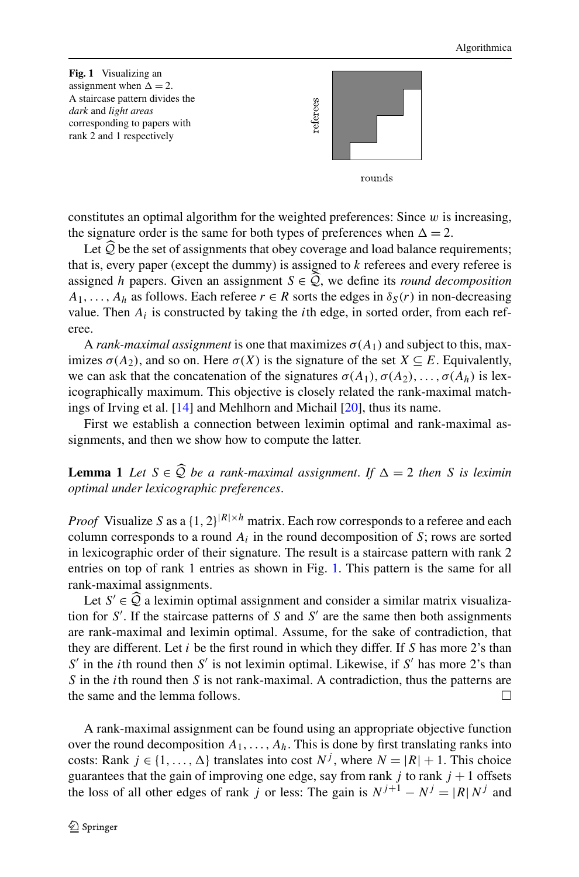<span id="page-5-0"></span>

constitutes an optimal algorithm for the weighted preferences: Since *w* is increasing, the signature order is the same for both types of preferences when  $\Delta = 2$ .

Let  $Q$  be the set of assignments that obey coverage and load balance requirements; that is, every paper (except the dummy) is assigned to *k* referees and every referee is assigned *h* papers. Given an assignment  $S \in \mathcal{Q}$ , we define its *round decomposition*  $A_1, \ldots, A_h$  as follows. Each referee  $r \in R$  sorts the edges in  $\delta_S(r)$  in non-decreasing value. Then  $A_i$  is constructed by taking the *i*th edge, in sorted order, from each referee.

A *rank-maximal assignment* is one that maximizes  $\sigma(A_1)$  and subject to this, maximizes  $\sigma(A_2)$ , and so on. Here  $\sigma(X)$  is the signature of the set  $X \subseteq E$ . Equivalently, we can ask that the concatenation of the signatures  $\sigma(A_1), \sigma(A_2), \ldots, \sigma(A_h)$  is lexicographically maximum. This objective is closely related the rank-maximal matchings of Irving et al. [[14\]](#page-17-0) and Mehlhorn and Michail [[20\]](#page-17-0), thus its name.

First we establish a connection between leximin optimal and rank-maximal assignments, and then we show how to compute the latter.

**Lemma 1** Let  $S \in \mathcal{Q}$  be a rank-maximal assignment. If  $\Delta = 2$  then *S* is leximin ontimal under lexicographic professors *optimal under lexicographic preferences*.

*Proof* Visualize *S* as a  $\{1, 2\}^{|R| \times h}$  matrix. Each row corresponds to a referee and each column corresponds to a round  $A_i$  in the round decomposition of  $S$ ; rows are sorted in lexicographic order of their signature. The result is a staircase pattern with rank 2 entries on top of rank 1 entries as shown in Fig. 1. This pattern is the same for all rank-maximal assignments.

Let  $S' \in \mathcal{Q}$  a leximin optimal assignment and consider a similar matrix visualization for  $S'$ . If the staircase patterns of  $S$  and  $S'$  are the same then both assignments are rank-maximal and leximin optimal. Assume, for the sake of contradiction, that they are different. Let *i* be the first round in which they differ. If *S* has more 2's than  $S'$  in the *i*th round then *S*<sup>'</sup> is not leximin optimal. Likewise, if *S*<sup>'</sup> has more 2's than *S* in the *i*th round then *S* is not rank-maximal. A contradiction, thus the patterns are the same and the lemma follows.  $\Box$ 

A rank-maximal assignment can be found using an appropriate objective function over the round decomposition  $A_1, \ldots, A_h$ . This is done by first translating ranks into costs: Rank  $j \in \{1, ..., \Delta\}$  translates into cost  $N^j$ , where  $N = |R| + 1$ . This choice guarantees that the gain of improving one edge, say from rank  $j$  to rank  $j + 1$  offsets the loss of all other edges of rank *j* or less: The gain is  $N^{j+1} - N^j = |R| N^j$  and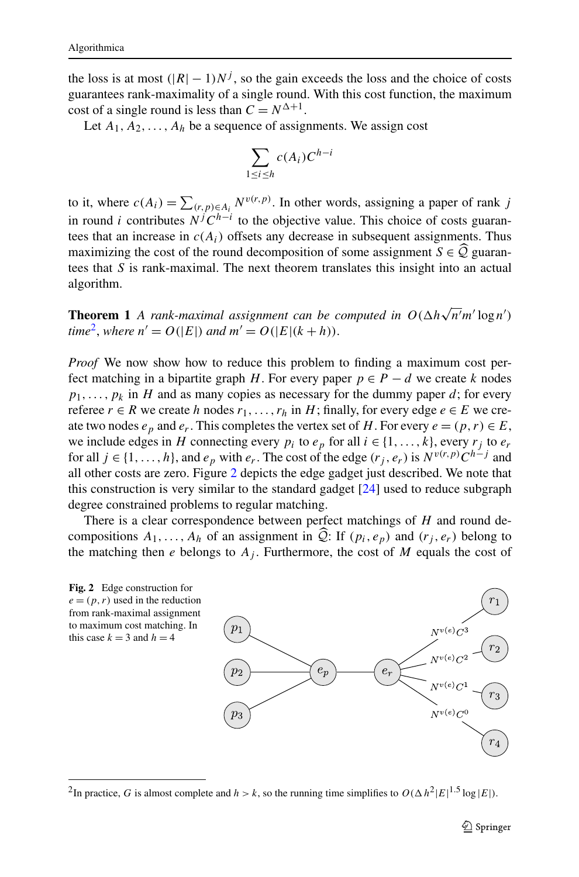<span id="page-6-0"></span>the loss is at most  $(|R| - 1)N^j$ , so the gain exceeds the loss and the choice of costs guarantees rank-maximality of a single round. With this cost function, the maximum cost of a single round is less than  $C = N^{\Delta+1}$ .

Let  $A_1, A_2, \ldots, A_h$  be a sequence of assignments. We assign cost

$$
\sum_{1 \le i \le h} c(A_i) C^{h-i}
$$

to it, where  $c(A_i) = \sum_{(r,p)\in A_i} N^{v(r,p)}$ . In other words, assigning a paper of rank *j* in round *i* contributes  $N^{j}C^{h-i}$  to the objective value. This choice of costs guarantees that an increase in  $c(A_i)$  offsets any decrease in subsequent assignments. Thus maximizing the cost of the round decomposition of some assignment  $S \in \mathcal{Q}$  guarantees that *S* is rank-maximal. The next theorem translates this insight into an actual algorithm.

**Theorem 1** *A rank-maximal assignment can be computed in*  $O(\Delta h \sqrt{n' m'} \log n')$ *time*<sup>2</sup>, *where*  $n' = O(|E|)$  *and*  $m' = O(|E|(k + h)).$ 

*Proof* We now show how to reduce this problem to finding a maximum cost perfect matching in a bipartite graph *H*. For every paper  $p \in P - d$  we create *k* nodes  $p_1, \ldots, p_k$  in *H* and as many copies as necessary for the dummy paper *d*; for every referee  $r \in R$  we create *h* nodes  $r_1, \ldots, r_h$  in *H*; finally, for every edge  $e \in E$  we create two nodes  $e_p$  and  $e_r$ . This completes the vertex set of *H*. For every  $e = (p, r) \in E$ , we include edges in *H* connecting every  $p_i$  to  $e_p$  for all  $i \in \{1, ..., k\}$ , every  $r_i$  to  $e_r$ for all  $j \in \{1, ..., h\}$ , and  $e_p$  with  $e_r$ . The cost of the edge  $(r_j, e_r)$  is  $N^{v(r,p)}C^{h-j}$  and all other costs are zero. Figure 2 depicts the edge gadget just described. We note that this construction is very similar to the standard gadget [\[24](#page-17-0)] used to reduce subgraph degree constrained problems to regular matching.

There is a clear correspondence between perfect matchings of *H* and round decompositions  $A_1, \ldots, A_h$  of an assignment in  $\mathcal{Q}$ : If  $(p_i, e_p)$  and  $(r_i, e_r)$  belong to the matching then  $e$  belongs to  $A_j$ . Furthermore, the cost of  $M$  equals the cost of



<sup>&</sup>lt;sup>2</sup>In practice, *G* is almost complete and  $h > k$ , so the running time simplifies to  $O(\Delta h^2 |E|^{1.5} \log |E|)$ .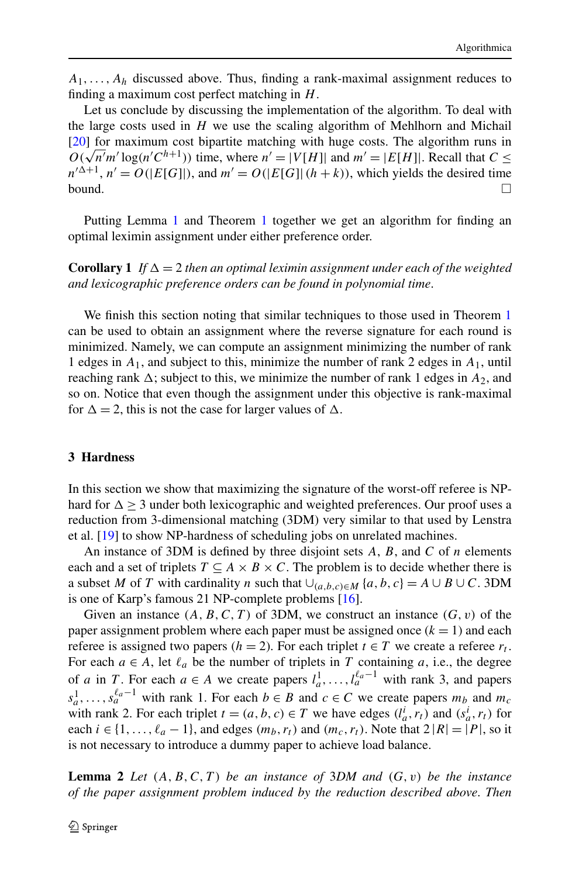<span id="page-7-0"></span> $A_1, \ldots, A_h$  discussed above. Thus, finding a rank-maximal assignment reduces to finding a maximum cost perfect matching in *H*.

Let us conclude by discussing the implementation of the algorithm. To deal with the large costs used in *H* we use the scaling algorithm of Mehlhorn and Michail [\[20](#page-17-0)] for maximum cost bipartite matching with huge costs. The algorithm runs in  $O(\sqrt{n' m'} \log(n' C^{h+1}))$  time, where  $n' = |V[H]|$  and  $m' = |E[H]|$ . Recall that  $C \le$  $n'^{\Delta+1}$ ,  $n' = O(|E[G]|)$ , and  $m' = O(|E[G]| (h + k))$ , which yields the desired time bound.  $\Box$ 

Putting Lemma [1](#page-5-0) and Theorem [1](#page-6-0) together we get an algorithm for finding an optimal leximin assignment under either preference order.

**Corollary 1** *If*  $\Delta = 2$  *then an optimal leximin assignment under each of the weighted and lexicographic preference orders can be found in polynomial time*.

We finish this section noting that similar techniques to those used in Theorem [1](#page-6-0) can be used to obtain an assignment where the reverse signature for each round is minimized. Namely, we can compute an assignment minimizing the number of rank 1 edges in *A*1, and subject to this, minimize the number of rank 2 edges in *A*1, until reaching rank  $\Delta$ ; subject to this, we minimize the number of rank 1 edges in  $A_2$ , and so on. Notice that even though the assignment under this objective is rank-maximal for  $\Delta = 2$ , this is not the case for larger values of  $\Delta$ .

#### **3 Hardness**

In this section we show that maximizing the signature of the worst-off referee is NPhard for  $\Delta \geq 3$  under both lexicographic and weighted preferences. Our proof uses a reduction from 3-dimensional matching (3DM) very similar to that used by Lenstra et al. [[19\]](#page-17-0) to show NP-hardness of scheduling jobs on unrelated machines.

An instance of 3DM is defined by three disjoint sets *A*, *B*, and *C* of *n* elements each and a set of triplets  $T \subseteq A \times B \times C$ . The problem is to decide whether there is a subset *M* of *T* with cardinality *n* such that  $\bigcup_{(a,b,c)\in M} \{a,b,c\} = A \cup B \cup C$ . 3DM is one of Karp's famous 21 NP-complete problems [[16\]](#page-17-0).

Given an instance *(A,B,C,T )* of 3DM, we construct an instance *(G,v)* of the paper assignment problem where each paper must be assigned once  $(k = 1)$  and each referee is assigned two papers ( $h = 2$ ). For each triplet  $t \in T$  we create a referee  $r_t$ . For each  $a \in A$ , let  $\ell_a$  be the number of triplets in *T* containing *a*, i.e., the degree of *a* in *T*. For each  $a \in A$  we create papers  $l_a^1, \ldots, l_a^{\ell_a-1}$  with rank 3, and papers  $s_a^1, \ldots, s_a^{\ell_a-1}$  with rank 1. For each  $b \in B$  and  $c \in C$  we create papers  $m_b$  and  $m_c$ with rank 2. For each triplet  $t = (a, b, c) \in T$  we have edges  $(l_a^i, r_t)$  and  $(s_a^i, r_t)$  for each  $i \in \{1, \ldots, \ell_a - 1\}$ , and edges  $(m_b, r_t)$  and  $(m_c, r_t)$ . Note that  $2 |R| = |P|$ , so it is not necessary to introduce a dummy paper to achieve load balance.

**Lemma 2** Let  $(A, B, C, T)$  be an instance of 3DM and  $(G, v)$  be the instance *of the paper assignment problem induced by the reduction described above*. *Then*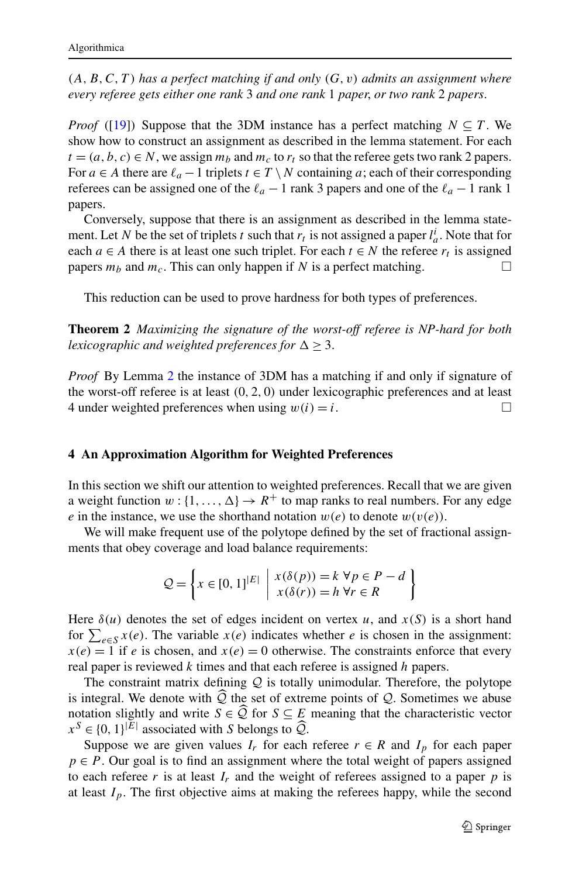<span id="page-8-0"></span> $(A, B, C, T)$  has a perfect matching if and only  $(G, v)$  admits an assignment where *every referee gets either one rank* 3 *and one rank* 1 *paper*, *or two rank* 2 *papers*.

*Proof* ([\[19\]](#page-17-0)) Suppose that the 3DM instance has a perfect matching  $N \subseteq T$ . We show how to construct an assignment as described in the lemma statement. For each  $t = (a, b, c) \in N$ , we assign  $m_b$  and  $m_c$  to  $r_t$  so that the referee gets two rank 2 papers. For *a* ∈ *A* there are  $\ell_a - 1$  triplets  $t \in T \setminus N$  containing *a*; each of their corresponding referees can be assigned one of the  $\ell_a - 1$  rank 3 papers and one of the  $\ell_a - 1$  rank 1 papers.

Conversely, suppose that there is an assignment as described in the lemma statement. Let *N* be the set of triplets *t* such that  $r_t$  is not assigned a paper  $l_a^i$ . Note that for each  $a \in A$  there is at least one such triplet. For each  $t \in N$  the referee  $r_t$  is assigned papers  $m_b$  and  $m_c$ . This can only happen if *N* is a perfect matching.

This reduction can be used to prove hardness for both types of preferences.

**Theorem 2** *Maximizing the signature of the worst-off referee is NP-hard for both lexicographic and weighted preferences for*  $\Delta \geq 3$ .

*Proof* By Lemma [2](#page-7-0) the instance of 3DM has a matching if and only if signature of the worst-off referee is at least *(*0*,* 2*,* 0*)* under lexicographic preferences and at least 4 under weighted preferences when using  $w(i) = i$ .

# **4 An Approximation Algorithm for Weighted Preferences**

In this section we shift our attention to weighted preferences. Recall that we are given a weight function  $w: \{1, \ldots, \Delta\} \rightarrow R^+$  to map ranks to real numbers. For any edge *e* in the instance, we use the shorthand notation  $w(e)$  to denote  $w(v(e))$ .

We will make frequent use of the polytope defined by the set of fractional assignments that obey coverage and load balance requirements:

$$
Q = \left\{ x \in [0,1]^{|E|} \mid \begin{array}{l} x(\delta(p)) = k \,\forall p \in P - d \\ x(\delta(r)) = h \,\forall r \in R \end{array} \right\}
$$

Here  $\delta(u)$  denotes the set of edges incident on vertex *u*, and  $x(S)$  is a short hand for  $\sum_{e \in S} x(e)$ . The variable  $x(e)$  indicates whether *e* is chosen in the assignment:  $x(e) = 1$  if *e* is chosen, and  $x(e) = 0$  otherwise. The constraints enforce that every real paper is reviewed *k* times and that each referee is assigned *h* papers.

The constraint matrix defining  $Q$  is totally unimodular. Therefore, the polytope is integral. We denote with  $\widehat{Q}$  the set of extreme points of  $Q$ . Sometimes we abuse notation slightly and write  $S \in \widehat{Q}$  for  $S \subseteq E$  meaning that the characteristic vector  $x^{S} \in \{0, 1\}^{|E|}$  associated with *S* belongs to  $\widehat{Q}$ .<br>Suppose we are given values *I* for each

Suppose we are given values  $I_r$  for each referee  $r \in R$  and  $I_p$  for each paper  $p \in P$ . Our goal is to find an assignment where the total weight of papers assigned to each referee  $r$  is at least  $I_r$  and the weight of referees assigned to a paper  $p$  is at least  $I_p$ . The first objective aims at making the referees happy, while the second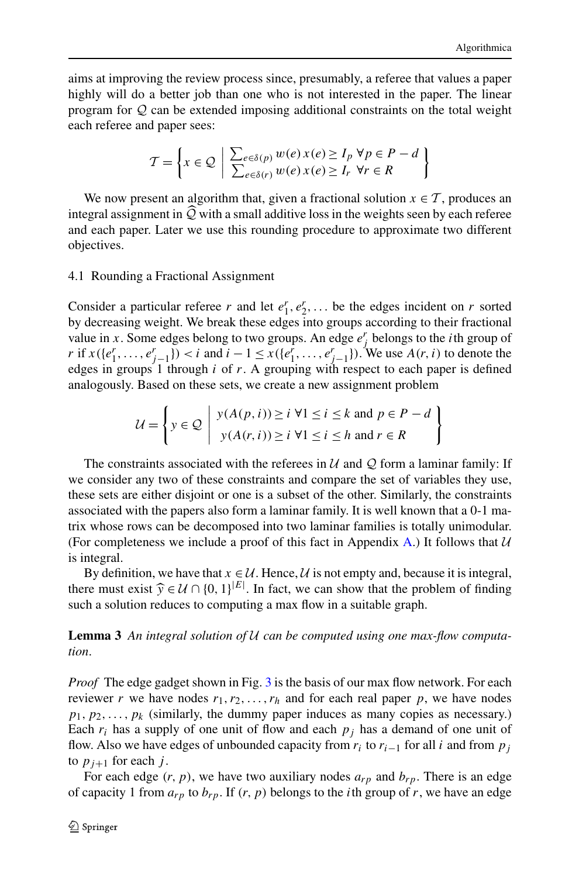<span id="page-9-0"></span>aims at improving the review process since, presumably, a referee that values a paper highly will do a better job than one who is not interested in the paper. The linear program for Q can be extended imposing additional constraints on the total weight each referee and paper sees:

$$
\mathcal{T} = \left\{ x \in \mathcal{Q} \mid \frac{\sum_{e \in \delta(p)} w(e) x(e) \ge I_p \forall p \in P - d}{\sum_{e \in \delta(r)} w(e) x(e) \ge I_r \forall r \in R} \right\}
$$

We now present an algorithm that, given a fractional solution  $x \in \mathcal{T}$ , produces an integral assignment in  $\tilde{Q}$  with a small additive loss in the weights seen by each referee and each paper. Later we use this rounding procedure to approximate two different objectives.

# 4.1 Rounding a Fractional Assignment

Consider a particular referee *r* and let  $e_1^r, e_2^r, \ldots$  be the edges incident on *r* sorted by decreasing weight. We break these edges into groups according to their fractional value in *x*. Some edges belong to two groups. An edge  $e_j^r$  belongs to the *i*th group of *r* if *x*({*e*<sup>*r*</sup><sub>1</sub>,...,*e*<sup>*r*</sup><sub>*j*−1</sub>}) < *i* and *i* − 1 ≤ *x*({*e*<sup>*r*</sup><sub>1</sub>,...,*e*<sup>*r*</sup><sub>*j*−1</sub>}). We use *A*(*r, i*) to denote the edges in groups 1 through *i* of *r*. A grouping with respect to each paper is defined analogously. Based on these sets, we create a new assignment problem

$$
\mathcal{U} = \left\{ y \in \mathcal{Q} \mid \begin{array}{l} y(A(p, i)) \geq i \ \forall 1 \leq i \leq k \text{ and } p \in P - d \\ y(A(r, i)) \geq i \ \forall 1 \leq i \leq h \text{ and } r \in R \end{array} \right\}
$$

The constraints associated with the referees in  $U$  and  $Q$  form a laminar family: If we consider any two of these constraints and compare the set of variables they use, these sets are either disjoint or one is a subset of the other. Similarly, the constraints associated with the papers also form a laminar family. It is well known that a 0-1 matrix whose rows can be decomposed into two laminar families is totally unimodular. (For completeness we include a proof of this fact in [A](#page-16-0)ppendix A.) It follows that  $U$ is integral.

By definition, we have that  $x \in \mathcal{U}$ . Hence,  $\mathcal{U}$  is not empty and, because it is integral, there must exist  $\hat{y} \in \mathcal{U} \cap \{0, 1\}^{|E|}$ . In fact, we can show that the problem of finding such a solution reduces to computing a max flow in a suitable graph such a solution reduces to computing a max flow in a suitable graph.

**Lemma 3** *An integral solution of* U *can be computed using one max-flow computation*.

*Proof* The edge gadget shown in Fig. [3](#page-10-0) is the basis of our max flow network. For each reviewer *r* we have nodes  $r_1, r_2, \ldots, r_h$  and for each real paper *p*, we have nodes  $p_1, p_2, \ldots, p_k$  (similarly, the dummy paper induces as many copies as necessary.) Each  $r_i$  has a supply of one unit of flow and each  $p_i$  has a demand of one unit of flow. Also we have edges of unbounded capacity from  $r_i$  to  $r_{i-1}$  for all *i* and from  $p_j$ to  $p_{i+1}$  for each *j*.

For each edge  $(r, p)$ , we have two auxiliary nodes  $a_{rp}$  and  $b_{rp}$ . There is an edge of capacity 1 from  $a_{rp}$  to  $b_{rp}$ . If  $(r, p)$  belongs to the *i*th group of *r*, we have an edge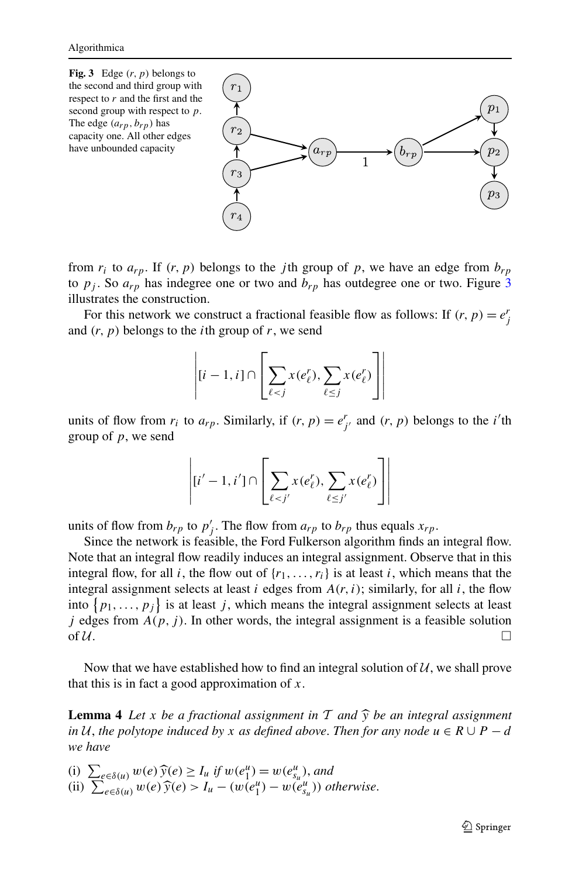<span id="page-10-0"></span>

from  $r_i$  to  $a_{rp}$ . If  $(r, p)$  belongs to the *j*th group of *p*, we have an edge from  $b_{rp}$ to  $p_j$ . So  $a_{rp}$  has indegree one or two and  $b_{rp}$  has outdegree one or two. Figure 3 illustrates the construction.

For this network we construct a fractional feasible flow as follows: If  $(r, p) = e^r$ and  $(r, p)$  belongs to the *i*th group of *r*, we send

$$
\left| [i-1, i] \cap \left[ \sum_{\ell < j} x(e_{\ell}^r), \sum_{\ell \le j} x(e_{\ell}^r) \right] \right|
$$

units of flow from  $r_i$  to  $a_{rp}$ . Similarly, if  $(r, p) = e^r_j$  and  $(r, p)$  belongs to the *i*'th group of *p*, we send

$$
\left| [i'-1, i'] \cap \left[ \sum_{\ell < j'} x(e_\ell^r), \sum_{\ell \le j'} x(e_\ell^r) \right] \right|
$$

units of flow from  $b_{rp}$  to  $p'_j$ . The flow from  $a_{rp}$  to  $b_{rp}$  thus equals  $x_{rp}$ .

Since the network is feasible, the Ford Fulkerson algorithm finds an integral flow. Note that an integral flow readily induces an integral assignment. Observe that in this integral flow, for all *i*, the flow out of  $\{r_1, \ldots, r_i\}$  is at least *i*, which means that the integral assignment selects at least  $i$  edges from  $A(r, i)$ ; similarly, for all  $i$ , the flow into  $\{p_1, \ldots, p_j\}$  is at least *j*, which means the integral assignment selects at least *j* edges from  $A(p, j)$ . In other words, the integral assignment is a feasible solution of  $\mathcal U$ .

Now that we have established how to find an integral solution of  $U$ , we shall prove that this is in fact a good approximation of *x*.

**Lemma 4** Let *x* be a fractional assignment in T and  $\hat{y}$  be an integral assignment *in*  $U$ , *the polytope induced by x as defined above. Then for any node*  $u \in R \cup P - d$ *we have*

(i)  $\sum_{e \in \delta(u)} w(e) \widehat{y}(e) \ge I_u$  *if*  $w(e_1^u) = w(e_{s_u}^u)$ , and<br>(ii)  $\sum_{e \in \delta(u)} w(e) \widehat{y}(e) > I_u - (w(e^u) - w(e^u))$  of

(ii)  $\sum_{e \in \delta(u)} w(e) \hat{y}(e) > I_u - (w(e_1^u) - w(e_{s_u}^u))$  otherwise.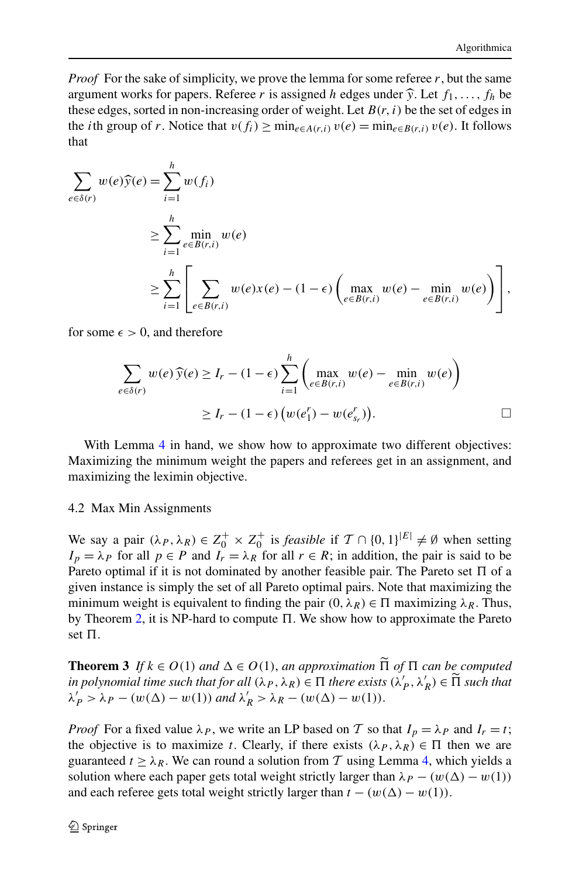<span id="page-11-0"></span>*Proof* For the sake of simplicity, we prove the lemma for some referee  $r$ , but the same argument works for papers. Referee r is assigned h edges under  $\hat{y}$ . Let  $f_1, \ldots, f_h$  be these edges, sorted in non-increasing order of weight. Let  $B(r, i)$  be the set of edges in the *i*th group of *r*. Notice that  $v(f_i) \ge \min_{e \in A(r,i)} v(e) = \min_{e \in B(r,i)} v(e)$ . It follows that

$$
\sum_{e \in \delta(r)} w(e) \widehat{y}(e) = \sum_{i=1}^{h} w(f_i)
$$
\n
$$
\geq \sum_{i=1}^{h} \min_{e \in B(r,i)} w(e)
$$
\n
$$
\geq \sum_{i=1}^{h} \left[ \sum_{e \in B(r,i)} w(e) x(e) - (1 - \epsilon) \left( \max_{e \in B(r,i)} w(e) - \min_{e \in B(r,i)} w(e) \right) \right],
$$

for some  $\epsilon > 0$ , and therefore

$$
\sum_{e \in \delta(r)} w(e) \widehat{y}(e) \ge I_r - (1 - \epsilon) \sum_{i=1}^h \left( \max_{e \in B(r,i)} w(e) - \min_{e \in B(r,i)} w(e) \right)
$$
  
 
$$
\ge I_r - (1 - \epsilon) \left( w(e_1^r) - w(e_{s_r}^r) \right).
$$

With Lemma [4](#page-10-0) in hand, we show how to approximate two different objectives: Maximizing the minimum weight the papers and referees get in an assignment, and maximizing the leximin objective.

#### 4.2 Max Min Assignments

We say a pair  $(\lambda_P, \lambda_R) \in Z_0^+ \times Z_0^+$  is *feasible* if  $\mathcal{T} \cap \{0, 1\}^{|E|} \neq \emptyset$  when setting  $I_p = \lambda_p$  for all  $p \in P$  and  $I_r = \lambda_R$  for all  $r \in R$ ; in addition, the pair is said to be Pareto optimal if it is not dominated by another feasible pair. The Pareto set  $\Pi$  of a given instance is simply the set of all Pareto optimal pairs. Note that maximizing the minimum weight is equivalent to finding the pair  $(0, \lambda_R) \in \Pi$  maximizing  $\lambda_R$ . Thus, by Theorem [2,](#page-8-0) it is NP-hard to compute  $\Pi$ . We show how to approximate the Pareto set  $\Pi$ .

**Theorem 3** *If*  $k \in O(1)$  and  $\Delta \in O(1)$ , an approximation  $\Pi$  *of*  $\Pi$  *can be computed* in polynomial time such that for all  $(1 - \lambda \Delta) \subseteq \Pi$  there exists  $(1 - \lambda') \subseteq \Pi$  such that *in polynomial time such that for all*  $(\lambda_P, \lambda_R) \in \Pi$  *there exists*  $(\lambda'_P, \lambda'_R) \in \Pi$  *such that*<br> $\lambda' > \lambda_P$   $(g(\Lambda)$   $(g(\Lambda))$  and  $\lambda' > \lambda_P$   $(g(\Lambda)$   $(g(\Lambda))$  $\lambda'_P > \lambda_P - (w(\Delta) - w(1))$  *and*  $\lambda'_R > \lambda_R - (w(\Delta) - w(1)).$ 

*Proof* For a fixed value  $\lambda_P$ , we write an LP based on T so that  $I_p = \lambda_P$  and  $I_r = t$ ; the objective is to maximize *t*. Clearly, if there exists  $(\lambda_P, \lambda_R) \in \Pi$  then we are guaranteed  $t \geq \lambda_R$ . We can round a solution from T using Lemma [4,](#page-10-0) which yields a solution where each paper gets total weight strictly larger than  $\lambda_P - (w(\Delta) - w(1))$ and each referee gets total weight strictly larger than  $t - (w(\Delta) - w(1))$ .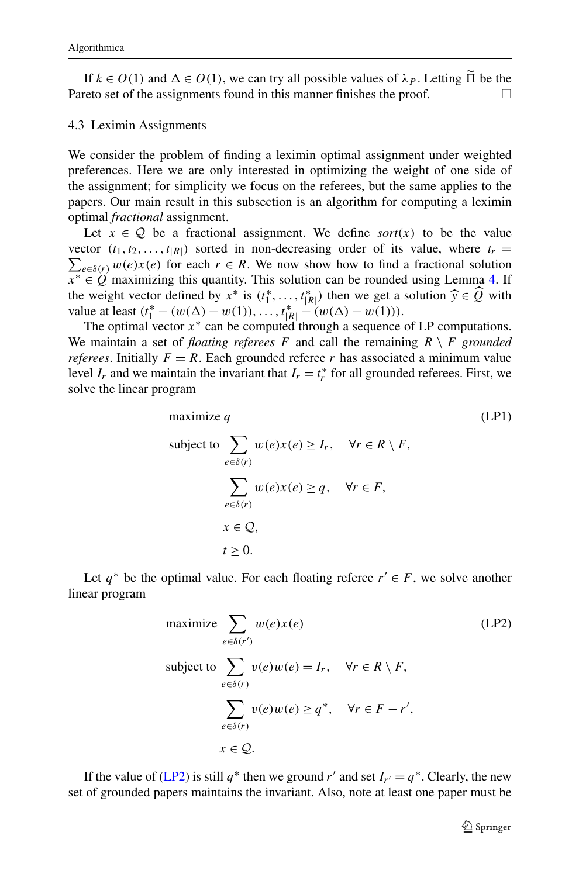<span id="page-12-0"></span>If  $k \in O(1)$  and  $\Delta \in O(1)$ , we can try all possible values of  $\lambda_P$ . Letting  $\Pi$  be the reto set of the assignments found in this manner finishes the proof Pareto set of the assignments found in this manner finishes the proof.  $\Box$ 

#### 4.3 Leximin Assignments

We consider the problem of finding a leximin optimal assignment under weighted preferences. Here we are only interested in optimizing the weight of one side of the assignment; for simplicity we focus on the referees, but the same applies to the papers. Our main result in this subsection is an algorithm for computing a leximin optimal *fractional* assignment.

Let  $x \in \mathcal{Q}$  be a fractional assignment. We define *sort*(x) to be the value vector  $(t_1, t_2, \ldots, t_{|R|})$  sorted in non-decreasing order of its value, where  $t_r =$  $\sum_{e \in \delta(r)} w(e) x(e)$  for each  $r \in R$ . We now show how to find a fractional solution  $x^* \in \hat{Q}$  maximizing this quantity. This solution can be rounded using Lemma [4](#page-10-0). If the weight vector defined by  $x^*$  is  $(t_1^*, \ldots, t_{|R|}^*)$  then we get a solution  $\hat{y} \in \hat{Q}$  with value at least  $(t^* - (w(\Delta) - w(1)) \ldots, t^*_{|R|} - (w(\Delta) - w(1)))$ . value at least  $(t_1^* - (w(\Delta) - w(1)), \ldots, t_{|R|}^* - (w(\Delta) - w(1))).$ 

The optimal vector *x*<sup>∗</sup> can be computed through a sequence of LP computations. We maintain a set of *floating referees* F and call the remaining  $R \setminus F$  *grounded referees*. Initially  $F = R$ . Each grounded referee *r* has associated a minimum value level  $I_r$  and we maintain the invariant that  $I_r = t_r^*$  for all grounded referees. First, we solve the linear program

maximize q  
\nsubject to 
$$
\sum_{e \in \delta(r)} w(e)x(e) \ge I_r, \quad \forall r \in R \setminus F,
$$
\n
$$
\sum_{e \in \delta(r)} w(e)x(e) \ge q, \quad \forall r \in F,
$$
\n
$$
x \in \mathcal{Q},
$$
\n
$$
t \ge 0.
$$
\n(LP1)

Let  $q^*$  be the optimal value. For each floating referee  $r' \in F$ , we solve another linear program

maximize 
$$
\sum_{e \in \delta(r')}
$$
  
\nsubject to  $\sum_{e \in \delta(r)} v(e)w(e) = I_r$ ,  $\forall r \in R \setminus F$ ,  
\n $\sum_{e \in \delta(r)} v(e)w(e) \geq q^*$ ,  $\forall r \in F - r'$ ,  
\n $x \in Q$ .

If the value of (LP2) is still  $q^*$  then we ground r' and set  $I_{r'} = q^*$ . Clearly, the new set of grounded papers maintains the invariant. Also, note at least one paper must be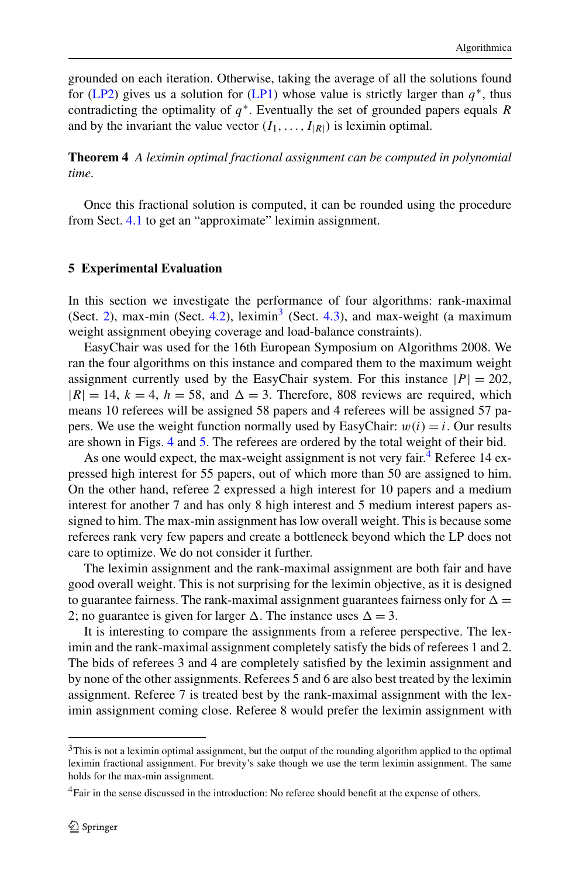<span id="page-13-0"></span>grounded on each iteration. Otherwise, taking the average of all the solutions found for [\(LP2\)](#page-12-0) gives us a solution for [\(LP1\)](#page-12-0) whose value is strictly larger than  $q^*$ , thus contradicting the optimality of  $q^*$ . Eventually the set of grounded papers equals *R* and by the invariant the value vector  $(I_1, \ldots, I_{|R|})$  is leximin optimal.

**Theorem 4** *A leximin optimal fractional assignment can be computed in polynomial time*.

Once this fractional solution is computed, it can be rounded using the procedure from Sect. [4.1](#page-9-0) to get an "approximate" leximin assignment.

#### **5 Experimental Evaluation**

In this section we investigate the performance of four algorithms: rank-maximal (Sect. [2](#page-4-0)), max-min (Sect. [4.2](#page-11-0)), leximin<sup>3</sup> (Sect. [4.3](#page-12-0)), and max-weight (a maximum weight assignment obeying coverage and load-balance constraints).

EasyChair was used for the 16th European Symposium on Algorithms 2008. We ran the four algorithms on this instance and compared them to the maximum weight assignment currently used by the EasyChair system. For this instance  $|P| = 202$ ,  $|R| = 14$ ,  $k = 4$ ,  $h = 58$ , and  $\Delta = 3$ . Therefore, 808 reviews are required, which means 10 referees will be assigned 58 papers and 4 referees will be assigned 57 papers. We use the weight function normally used by EasyChair:  $w(i) = i$ . Our results are shown in Figs. [4](#page-14-0) and [5](#page-15-0). The referees are ordered by the total weight of their bid.

As one would expect, the max-weight assignment is not very fair.<sup>4</sup> Referee 14 expressed high interest for 55 papers, out of which more than 50 are assigned to him. On the other hand, referee 2 expressed a high interest for 10 papers and a medium interest for another 7 and has only 8 high interest and 5 medium interest papers assigned to him. The max-min assignment has low overall weight. This is because some referees rank very few papers and create a bottleneck beyond which the LP does not care to optimize. We do not consider it further.

The leximin assignment and the rank-maximal assignment are both fair and have good overall weight. This is not surprising for the leximin objective, as it is designed to guarantee fairness. The rank-maximal assignment guarantees fairness only for  $\Delta =$ 2; no guarantee is given for larger  $\Delta$ . The instance uses  $\Delta = 3$ .

It is interesting to compare the assignments from a referee perspective. The leximin and the rank-maximal assignment completely satisfy the bids of referees 1 and 2. The bids of referees 3 and 4 are completely satisfied by the leximin assignment and by none of the other assignments. Referees 5 and 6 are also best treated by the leximin assignment. Referee 7 is treated best by the rank-maximal assignment with the leximin assignment coming close. Referee 8 would prefer the leximin assignment with

<sup>&</sup>lt;sup>3</sup>This is not a leximin optimal assignment, but the output of the rounding algorithm applied to the optimal leximin fractional assignment. For brevity's sake though we use the term leximin assignment. The same holds for the max-min assignment.

<sup>&</sup>lt;sup>4</sup>Fair in the sense discussed in the introduction: No referee should benefit at the expense of others.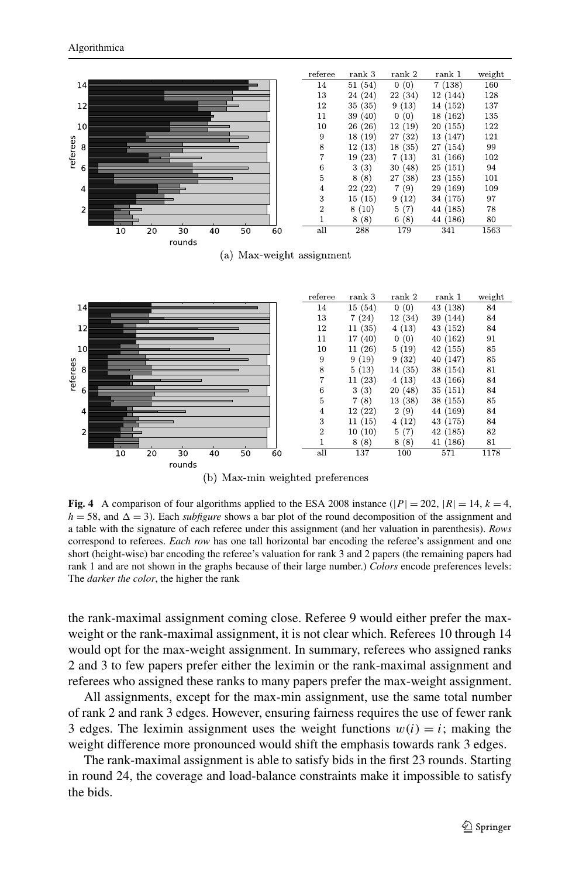<span id="page-14-0"></span>

(b) Max-min weighted preferences

**Fig. 4** A comparison of four algorithms applied to the ESA 2008 instance ( $|P| = 202$ ,  $|R| = 14$ ,  $k = 4$ ,  $h = 58$ , and  $\Delta = 3$ ). Each *subfigure* shows a bar plot of the round decomposition of the assignment and a table with the signature of each referee under this assignment (and her valuation in parenthesis). *Rows* correspond to referees. *Each row* has one tall horizontal bar encoding the referee's assignment and one short (height-wise) bar encoding the referee's valuation for rank 3 and 2 papers (the remaining papers had rank 1 and are not shown in the graphs because of their large number.) *Colors* encode preferences levels: The *darker the color*, the higher the rank

the rank-maximal assignment coming close. Referee 9 would either prefer the maxweight or the rank-maximal assignment, it is not clear which. Referees 10 through 14 would opt for the max-weight assignment. In summary, referees who assigned ranks 2 and 3 to few papers prefer either the leximin or the rank-maximal assignment and referees who assigned these ranks to many papers prefer the max-weight assignment.

All assignments, except for the max-min assignment, use the same total number of rank 2 and rank 3 edges. However, ensuring fairness requires the use of fewer rank 3 edges. The leximin assignment uses the weight functions  $w(i) = i$ ; making the weight difference more pronounced would shift the emphasis towards rank 3 edges.

The rank-maximal assignment is able to satisfy bids in the first 23 rounds. Starting in round 24, the coverage and load-balance constraints make it impossible to satisfy the bids.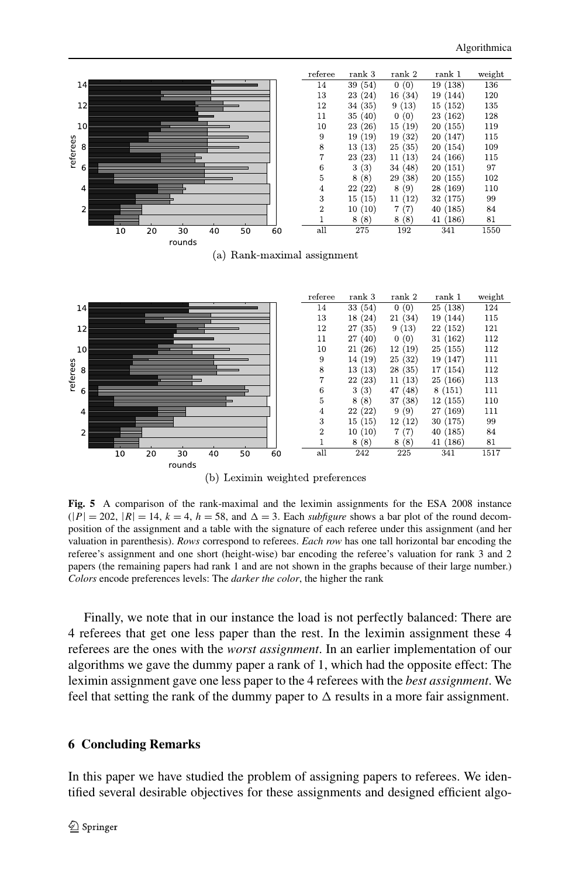<span id="page-15-0"></span>

(b) Leximin weighted preferences

**Fig. 5** A comparison of the rank-maximal and the leximin assignments for the ESA 2008 instance  $(|P| = 202, |R| = 14, k = 4, h = 58, \text{ and } \Delta = 3.$  Each *subfigure* shows a bar plot of the round decomposition of the assignment and a table with the signature of each referee under this assignment (and her valuation in parenthesis). *Rows* correspond to referees. *Each row* has one tall horizontal bar encoding the referee's assignment and one short (height-wise) bar encoding the referee's valuation for rank 3 and 2 papers (the remaining papers had rank 1 and are not shown in the graphs because of their large number.) *Colors* encode preferences levels: The *darker the color*, the higher the rank

Finally, we note that in our instance the load is not perfectly balanced: There are 4 referees that get one less paper than the rest. In the leximin assignment these 4 referees are the ones with the *worst assignment*. In an earlier implementation of our algorithms we gave the dummy paper a rank of 1, which had the opposite effect: The leximin assignment gave one less paper to the 4 referees with the *best assignment*. We feel that setting the rank of the dummy paper to  $\Delta$  results in a more fair assignment.

## **6 Concluding Remarks**

In this paper we have studied the problem of assigning papers to referees. We identified several desirable objectives for these assignments and designed efficient algo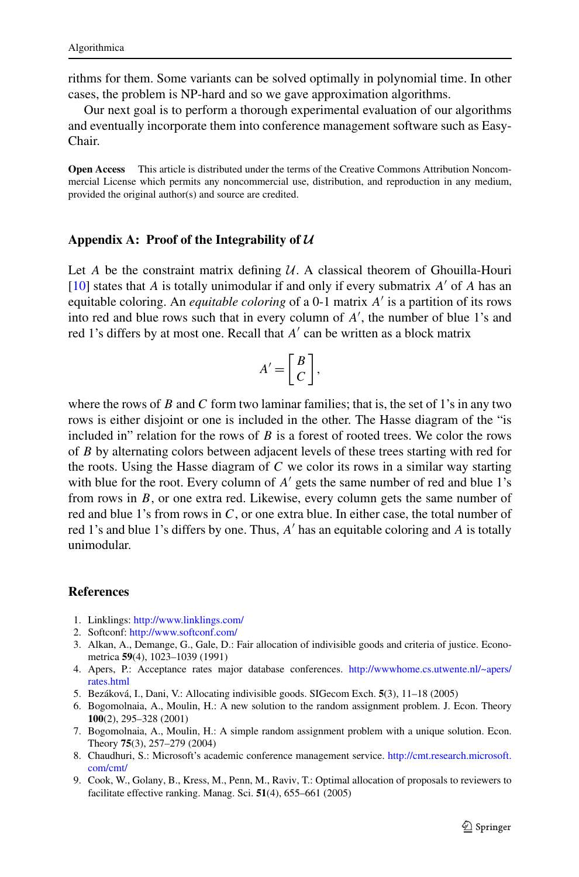<span id="page-16-0"></span>rithms for them. Some variants can be solved optimally in polynomial time. In other cases, the problem is NP-hard and so we gave approximation algorithms.

Our next goal is to perform a thorough experimental evaluation of our algorithms and eventually incorporate them into conference management software such as Easy-Chair.

**Open Access** This article is distributed under the terms of the Creative Commons Attribution Noncommercial License which permits any noncommercial use, distribution, and reproduction in any medium, provided the original author(s) and source are credited.

#### **Appendix A: Proof of the Integrability of** *U*

Let  $A$  be the constraint matrix defining  $U$ . A classical theorem of Ghouilla-Houri  $[10]$  $[10]$  states that *A* is totally unimodular if and only if every submatrix *A'* of *A* has an equitable coloring. An *equitable coloring* of a 0-1 matrix *A* is a partition of its rows into red and blue rows such that in every column of  $A'$ , the number of blue 1's and red 1's differs by at most one. Recall that *A'* can be written as a block matrix

$$
A' = \left[ \begin{array}{c} B \\ C \end{array} \right],
$$

where the rows of *B* and *C* form two laminar families; that is, the set of 1's in any two rows is either disjoint or one is included in the other. The Hasse diagram of the "is included in" relation for the rows of *B* is a forest of rooted trees. We color the rows of *B* by alternating colors between adjacent levels of these trees starting with red for the roots. Using the Hasse diagram of *C* we color its rows in a similar way starting with blue for the root. Every column of *A'* gets the same number of red and blue 1's from rows in *B*, or one extra red. Likewise, every column gets the same number of red and blue 1's from rows in *C*, or one extra blue. In either case, the total number of red 1's and blue 1's differs by one. Thus, *A* has an equitable coloring and *A* is totally unimodular.

# **References**

- 1. Linklings: <http://www.linklings.com/>
- 2. Softconf: <http://www.softconf.com/>
- 3. Alkan, A., Demange, G., Gale, D.: Fair allocation of indivisible goods and criteria of justice. Econometrica **59**(4), 1023–1039 (1991)
- 4. Apers, P.: Acceptance rates major database conferences. [http://wwwhome.cs.utwente.nl/~apers/](http://wwwhome.cs.utwente.nl/~apers/rates.html) [rates.html](http://wwwhome.cs.utwente.nl/~apers/rates.html)
- 5. Bezáková, I., Dani, V.: Allocating indivisible goods. SIGecom Exch. **5**(3), 11–18 (2005)
- 6. Bogomolnaia, A., Moulin, H.: A new solution to the random assignment problem. J. Econ. Theory **100**(2), 295–328 (2001)
- 7. Bogomolnaia, A., Moulin, H.: A simple random assignment problem with a unique solution. Econ. Theory **75**(3), 257–279 (2004)
- 8. Chaudhuri, S.: Microsoft's academic conference management service. [http://cmt.research.microsoft.](http://cmt.research.microsoft.com/cmt/) [com/cmt/](http://cmt.research.microsoft.com/cmt/)
- 9. Cook, W., Golany, B., Kress, M., Penn, M., Raviv, T.: Optimal allocation of proposals to reviewers to facilitate effective ranking. Manag. Sci. **51**(4), 655–661 (2005)